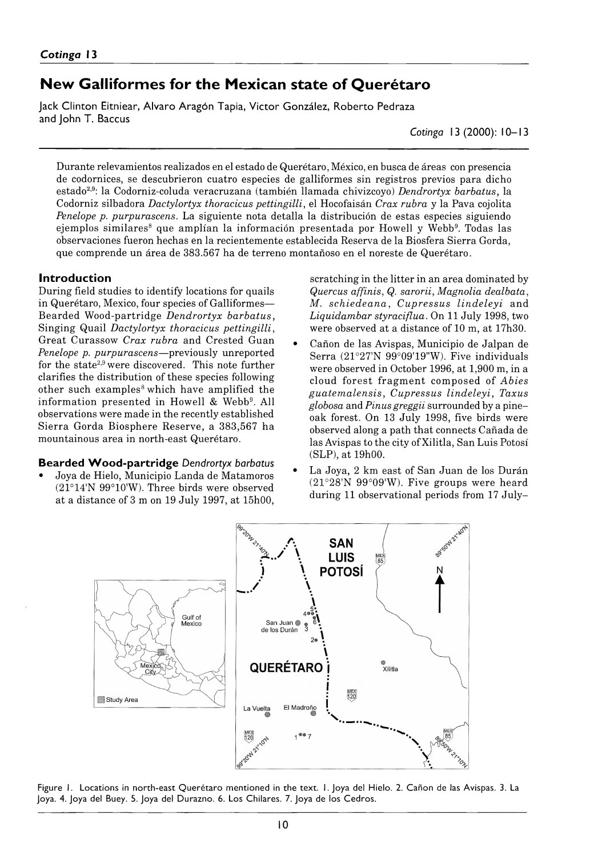# New Galliformes for the Mexican state of Querétaro

Jack Clinton Eitniear, Alvaro Aragon Tapia, Victor González, Roberto Pedraza and John T. Baccus

*Cotinga* 13 (2000): 10– 13

Durante relevamientos realizados en el estado de Querétaro, México, en busca de áreas con presencia de codornices, se descubrieron cuatro especies de galliformes sin registros previos para dicho estado2,9: la Codorniz-coluda veracruzana (también llamada chivizcoyo) *Dendrortyx barbatus*, la Codorniz silbadora *Dactylortyx thoracicus pettingilli*, el Hocofaisán *Crax rubra* y la Pava cojolita *Penelope p. purpurascens.* La siguiente nota detalla la distribución de estas especies siguiendo ejemplos similares<sup>8</sup> que amplían la información presentada por Howell y Webb<sup>9</sup>. Todas las observaciones fueron hechas en la recientemente establecida Reserva de la Biosfera Sierra Gorda, que comprende un área de 383 567 ha de terreno montañoso en el noreste de Querétaro.

#### Introduction

During field studies to identify locations for quails in Querétaro, Mexico, four species of Galliformes— Bearded Wood-Partridge *Dendrortyx barbatus,* Singing Quail *Dactylortyx thoracicus pettingilli*, Great Curassow *Crax rubra* and Crested Guan *Penelope p. purpurascens* — previously unreported for the state2,9 were discovered. This note further clarifies the distribution of these species following other such examples<sup>8</sup> which have amplified the information presented in Howell & Webb<sup>9</sup>. All observations were made in the recently established Sierra Gorda Biosphere Reserve, a 383 567 ha mountainous area in north-east Querétaro.

#### Bearded Wood-partridge Dendrortyx barbatus

• Joya de Hielo, Municipio Landa de Matamoros (21°14'N 99°10'W). Three birds were observed at a distance of 3 m on 19 July 1997, at 15h00, scratching in the litter in an area dominated by *Quercus affinis*, *Q. sarorii*, *Magnolia dealbata*, *M. schiedeana*, *Cupressus lindeleyi* and *Liquidambar styraciflua.* On 11 July 1998, two were observed at a distance of 10 m, at 17h30.

- Cañon de las Avispas, Municipio de Jalpan de Serra (21°27'N 99°09'19"W). Five individuals were observed in October 1996, at 1,900 m, in a cloud- forest fragm ent composed of *Abies guatem alensis*, *Cupressus lindeleyi*, *Taxus globosa* and *Pinus greggii* surrounded by a pine– oak forest. On 13 July 1998, five birds were observed along a path that connects Cañada de las Avispas to the city of Xilitla, San Luis Potosí (SLP), at 19h00.
- La Joya, 2 km east of San Juan de los Durán (21°28'N 99°09'W). Five groups were heard during 11 observational periods from 17 July–



Figure 1. Locations in north-east Querétaro mentioned in the text. 1. Joya del Hielo. 2. Cañon de las Avispas. 3. La Joya. 4. Joya del Buey. 5. Joya del Durazno. 6. Los Chilares. 7. Joya de los Cedros.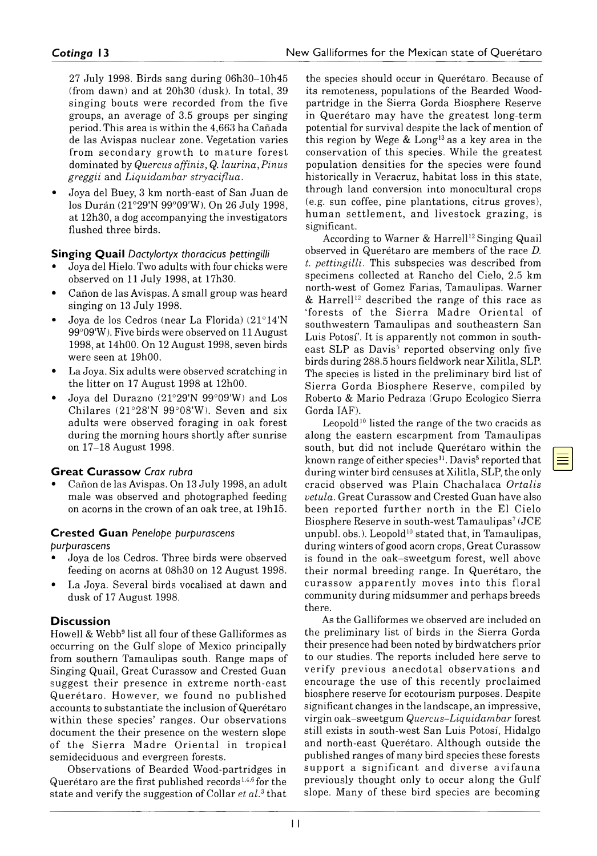27 July 1998. Birds sang during 06h30–10h45 (from dawn) and at 20h30 (dusk). In total, 39 singing bouts were recorded from the five groups, an average of 3.5 groups per singing period. This area is within the 4663 ha Cañada de las Avispas nuclear zone. Vegetation varies from secondary growth to mature forest dominated by *Quercus affinis*, *Q. laurina*, *Pinus greggii* and *Liquidambar stryaciflua.*

*•* Joya del Buey, 3 km north-east of San Juan de los Durán (21°29'N 99°09'W). On 26 July 1998, at 12h30, a dog accompanying the investigators flushed three birds.

#### Singing Quail *Dactylortyx thoracicus pettingilli*

- Joya del Hielo. Two adults with four chicks were observed on 11 July 1998, at 17h30.
- Cañon de las Avispas. A small group was heard singing on 13 July 1998.
- Joya de los Cedros (near La Florida) (21°14'N 99°09'W). Five birds were observed on 11 August 1998, at 14h00. On 12 August 1998, seven birds were seen at 19h00.
- La Joya. Six adults were observed scratching in the litter on 17 August 1998 at 12h00.
- Joya del Durazno (21°29'N 99°09'W) and Los Chilares (21°28'N 99°08'W). Seven and six adults were observed foraging in oak forest during the morning hours shortly after sunrise on 17–18 August 1998.

#### **Great Curassow Crax rubra**

*•* Cañon de las Avispas. On 13 July 1998, an adult male was observed and photographed feeding on acorns in the crown of an oak tree, at 19h15.

#### C rested Guan *Penelope purpurascens*

*purpurascens*

- Joya de los Cedros. Three birds were observed feeding on acorns at 08h30 on 12 August 1998.
- La Joya. Several birds vocalised at dawn and dusk of 17 August 1998.

#### **Discussion**

Howell & Webb9 list all four of these Galliformes as occurring on the Gulf slope of Mexico principally from southern Tamaulipas south. Range maps of Singing Quail, Great Curassow and Crested Guan suggest their presence in extreme north-east Q uerétaro. However, we found no published accounts to substantiate the inclusion of Querétaro within these species' ranges. Our observations document the their presence on the western slope of the Sierra Madre Oriental in tropical semideciduous and evergreen forests.

Observations of Bearded Wood-partridges in Querétaro are the first published records<sup>1,4,6</sup> for the state and verify the suggestion of Collar *et al.*3 that

the species should occur in Querétaro. Because of its remoteness, populations of the Bearded Woodpartridge in the Sierra Gorda Biosphere Reserve in Querétaro may have the greatest long-term potential for survival despite the lack of mention of this region by Wege  $&$  Long<sup>13</sup> as a key area in the conservation of this species. While the greatest population densities for the species were found historically in Veracruz, habitat loss in this state, through land conversion into monocultural crops (e.g. sun coffee, pine plantations, citrus groves), human settlement, and livestock grazing, is significant.

According to Warner & Harrell<sup>12</sup> Singing Quail observed in Querétaro are members of the race *D. t. pettingilli.* This subspecies was described from specimens collected at Rancho del Cielo, 2.5 km north-west of Gomez Farias, Tamaulipas. Warner & Harrell<sup>12</sup> described the range of this race as 'forests of the Sierra Madre Oriental of southwestern Tamaulipas and southeastern San Luis Potosí'. It is apparently not common in southeast SLP as Davis<sup>5</sup> reported observing only five birds during 288.5 hours fieldwork near Xilitla, SLP. The species is listed in the preliminary bird list of Sierra Gorda Biosphere Reserve, compiled by Roberto & Mario Pedraza (Grupo Ecológico Sierra Gorda IAF).

Leopold<sup>10</sup> listed the range of the two cracids as along the eastern escarpment from Tamaulipas south, but did not include Querétaro within the known range of either species<sup>11</sup>. Davis<sup>5</sup> reported that during winter bird censuses at Xilitla, SLP, the only cracid observed was Plain Chachalaca *Ortalis vetula.* Great Curassow and Crested Guan have also been reported further north in the El Cielo Biosphere Reserve in south-west Tamaulipas<sup>7</sup> (JCE unpubl. obs.). Leopold<sup>10</sup> stated that, in Tamaulipas, during winters of good acorn crops, Great Curassow is found in the oak–sweetgum forest, well above their normal breeding range. In Querétaro, the curassow apparently moves into this floral community during midsummer and perhaps breeds there.

As the Galliformes we observed are included on the preliminary list of birds in the Sierra Gorda their presence had been noted by birdwatchers prior to our studies. The reports included here serve to verify previous anecdotal observations and encourage the use of this recently proclaimed biosphere reserve for ecotourism purposes. Despite significant changes in the landscape, an impressive, virgin oak–sweetgum *Quercus–Liquidambar* forest still exists in south-west San Luis Potosí, Hidalgo and north-east Querétaro. Although outside the published ranges of many bird species these forests support a significant and diverse avifauna previously thought only to occur along the Gulf slope. Many of these bird species are becoming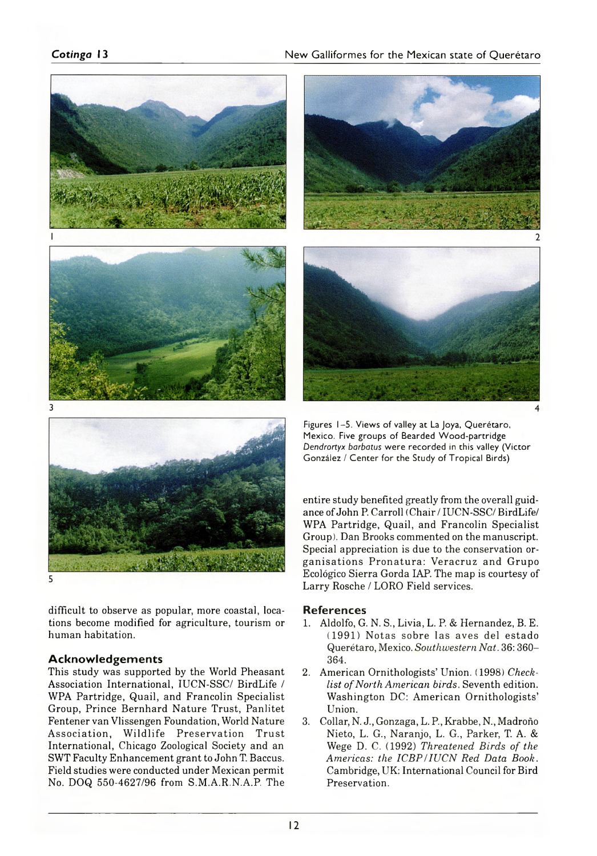#### **Cotinga** 13 **New Galliformes for the Mexican state of Querétaro**



difficult to observe as popular, more coastal, locations become modified for agriculture, tourism or human habitation.

#### **Acknowledgements**

This study was supported by the World Pheasant Association International, IUCN-SSC/ BirdLife / WPA Partridge, Quail, and Francolín Specialist Group, Prince Bernhard Nature Trust, Panlitet Fentener van Vlissengen Foundation, World Nature Association, Wildlife Preservation Trust International, Chicago Zoological Society and an SWT Faculty Enhancement grant to John T. Baccus. Field studies were conducted under Mexican permit No. DOQ 550-4627/96 from S.M.A.R.N.A.P. The



Figures 1-5. Views of valley at La Joya, Querétaro, Mexico. Five groups of Bearded Wood-partridge *Dendrortyx barbatus* were recorded in this valley (Victor González / Center for the Study of Tropical Birds)

entire study benefited greatly from the overall guidance of John P. Carroll (Chair/IUCN-SSC/BirdLife/ WPA Partridge, Quail, and Francolin Specialist Group). Dan Brooks commented on the manuscript. Special appreciation is due to the conservation organisations Pronatura: Veracruz and Grupo Ecológico Sierra Gorda LAP. The map is courtesy of Larry Rosche / LORO Field services.

#### **References**

- 1. Aldolfo, G. N. S., Livia, L. P. & Hernandez, B. E. (1991) Notas sobre las aves del estado Querétaro, Mexico. *Southwestern Nat.* 36: 360– 364.
- 2. American Ornithologists' Union. (1998) *Checklist of North American birds.* Seventh edition. Washington DC: American Ornithologists' Union.
- 3. Collar, N. J., Gonzaga, L. P, Krabbe, N., Madroño Nieto, L. G., Naranjo, L. G., Parker, T. A. & Wege D. C. (1992) *Threatened Birds of the Americas: the ICBP/IUCN Red Data Book.* Cambridge, UK: International Council for Bird Preservation.